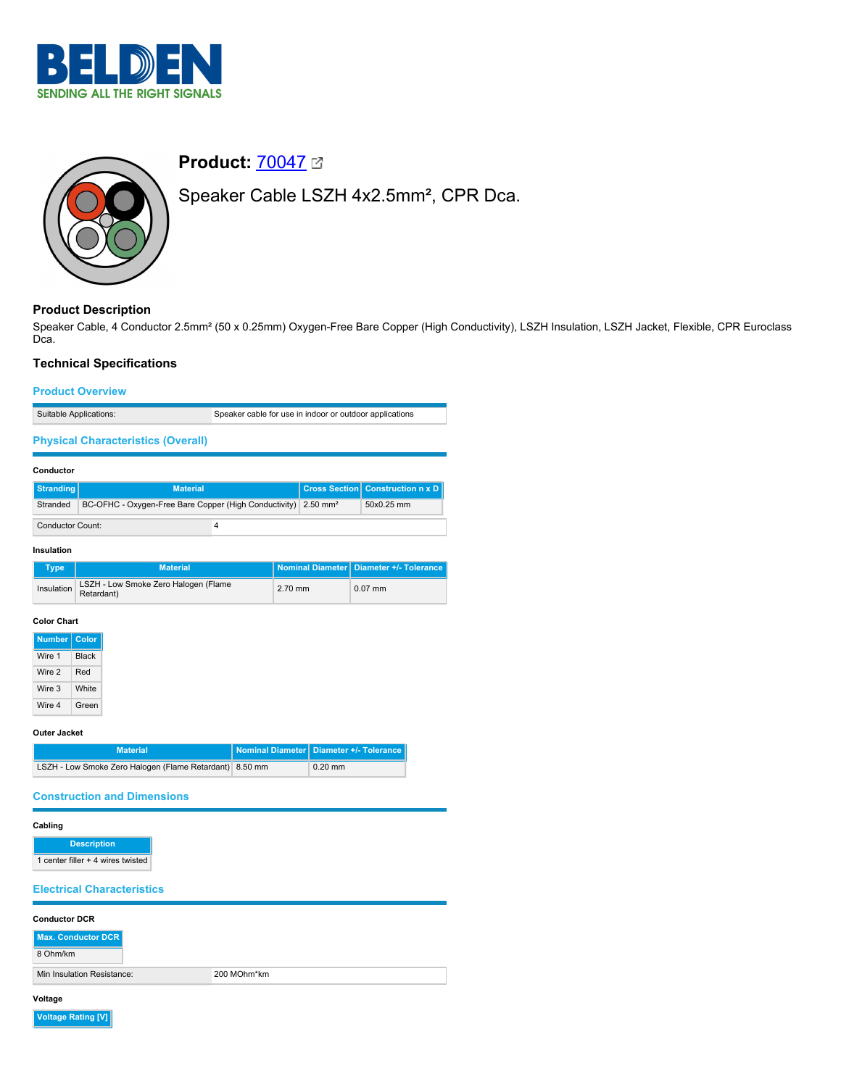



# **Product:** [70047](https://catalog.belden.com/index.cfm?event=pd&p=PF_70047&tab=downloads)

Speaker Cable LSZH 4x2.5mm², CPR Dca.

# **Product Description**

Speaker Cable, 4 Conductor 2.5mm² (50 x 0.25mm) Oxygen-Free Bare Copper (High Conductivity), LSZH Insulation, LSZH Jacket, Flexible, CPR Euroclass D<sub>ca</sub>.

## **Technical Specifications**

#### **Product Overview**

Suitable Applications: Speaker cable for use in indoor or outdoor applications

## **Physical Characteristics (Overall)**

#### **Conductor**

| Stranding               | <b>Material</b>                                                            |  | <b>Cross Section Construction n x D</b> |
|-------------------------|----------------------------------------------------------------------------|--|-----------------------------------------|
| Stranded                | BC-OFHC - Oxygen-Free Bare Copper (High Conductivity) 2.50 mm <sup>2</sup> |  | 50x0.25 mm                              |
| <b>Conductor Count:</b> |                                                                            |  |                                         |

#### **Insulation**

| Type       | <b>Material</b>                                    |           | Nominal Diameter   Diameter +/- Tolerance |
|------------|----------------------------------------------------|-----------|-------------------------------------------|
| Insulation | LSZH - Low Smoke Zero Halogen (Flame<br>Retardant) | $2.70$ mm | $0.07$ mm                                 |

#### **Color Chart**

| <b>Number</b> | Color        |  |
|---------------|--------------|--|
| Wire 1        | <b>Black</b> |  |
| Wire 2        | Red          |  |
| Wire 3        | White        |  |
| Wire 4        | Green        |  |

#### **Outer Jacket**

| <b>Material</b>                                         | Nominal Diameter   Diameter +/- Tolerance |
|---------------------------------------------------------|-------------------------------------------|
| LSZH - Low Smoke Zero Halogen (Flame Retardant) 8.50 mm | $0.20$ mm                                 |

## **Construction and Dimensions**

## **Cabling**

**Description** 1 center filler + 4 wires twisted

## **Electrical Characteristics**

| <b>Conductor DCR</b>           |             |  |  |  |
|--------------------------------|-------------|--|--|--|
| Max. Conductor DCR<br>8 Ohm/km |             |  |  |  |
| Min Insulation Resistance:     | 200 MOhm*km |  |  |  |

# **Voltage**